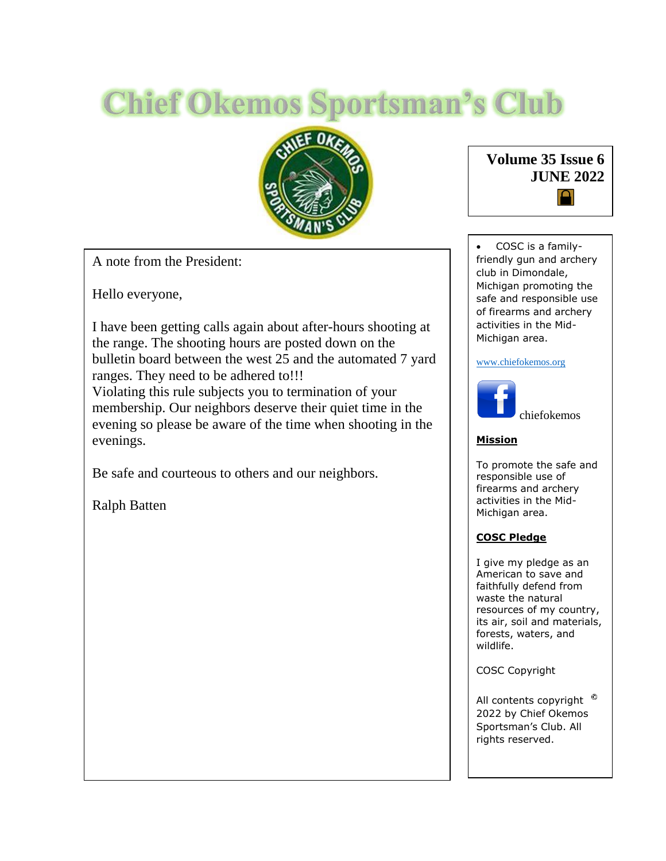# **Chief Okemos Sportsman's Club**



A note from the President:

Hello everyone,

I have been getting calls again about after-hours shooting at the range. The shooting hours are posted down on the bulletin board between the west 25 and the automated 7 yard ranges. They need to be adhered to!!!

Violating this rule subjects you to termination of your membership. Our neighbors deserve their quiet time in the evening so please be aware of the time when shooting in the evenings.

Be safe and courteous to others and our neighbors.

Ralph Batten



 COSC is a familyfriendly gun and archery club in Dimondale, Michigan promoting the safe and responsible use of firearms and archery activities in the Mid-Michigan area.

#### [www.chiefokemos.org](http://www.chiefokemos.org/)



#### **Mission**

To promote the safe and responsible use of firearms and archery activities in the Mid-Michigan area.

#### **COSC Pledge**

I give my pledge as an American to save and faithfully defend from waste the natural resources of my country, its air, soil and materials, forests, waters, and wildlife.

COSC Copyright

All contents copyright  $\degree$ 2022 by Chief Okemos Sportsman's Club. All rights reserved.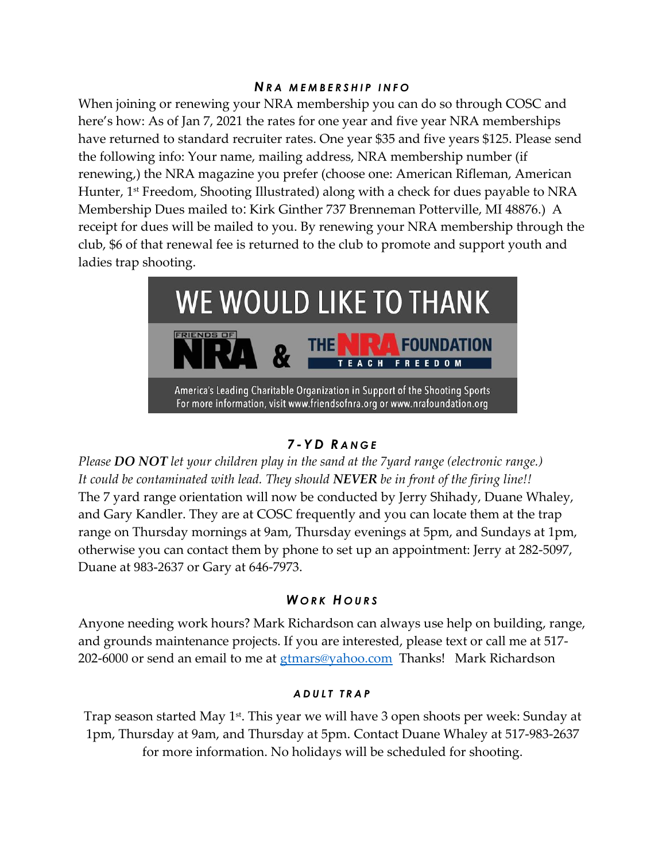#### *N R A M E M B E R S H I P I N F O*

When joining or renewing your NRA membership you can do so through COSC and here's how: As of Jan 7, 2021 the rates for one year and five year NRA memberships have returned to standard recruiter rates. One year \$35 and five years \$125. Please send the following info: Your name, mailing address, NRA membership number (if renewing,) the NRA magazine you prefer (choose one: American Rifleman, American Hunter, 1<sup>st</sup> Freedom, Shooting Illustrated) along with a check for dues payable to NRA Membership Dues mailed to: Kirk Ginther 737 Brenneman Potterville, MI 48876.) A receipt for dues will be mailed to you. By renewing your NRA membership through the club, \$6 of that renewal fee is returned to the club to promote and support youth and ladies trap shooting.



# *7 - Y D R A N G E*

*Please DO NOT let your children play in the sand at the 7yard range (electronic range.) It could be contaminated with lead. They should NEVER be in front of the firing line!!*  The 7 yard range orientation will now be conducted by Jerry Shihady, Duane Whaley, and Gary Kandler. They are at COSC frequently and you can locate them at the trap range on Thursday mornings at 9am, Thursday evenings at 5pm, and Sundays at 1pm, otherwise you can contact them by phone to set up an appointment: Jerry at 282-5097, Duane at 983-2637 or Gary at 646-7973.

# *W O R K H O U R S*

Anyone needing work hours? Mark Richardson can always use help on building, range, and grounds maintenance projects. If you are interested, please text or call me at 517 202-6000 or send an email to me at [gtmars@yahoo.com](mailto:gtmars@yahoo.com) Thanks! Mark Richardson

#### *A D U L T T R A P*

Trap season started May 1<sup>st</sup>. This year we will have 3 open shoots per week: Sunday at 1pm, Thursday at 9am, and Thursday at 5pm. Contact Duane Whaley at 517-983-2637 for more information. No holidays will be scheduled for shooting.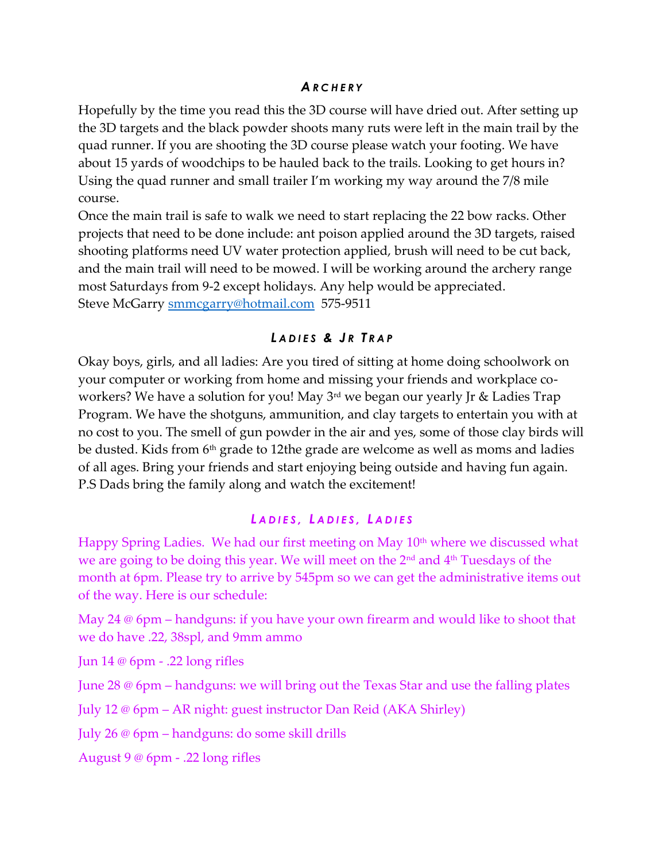### *A R C H E R Y*

Hopefully by the time you read this the 3D course will have dried out. After setting up the 3D targets and the black powder shoots many ruts were left in the main trail by the quad runner. If you are shooting the 3D course please watch your footing. We have about 15 yards of woodchips to be hauled back to the trails. Looking to get hours in? Using the quad runner and small trailer I'm working my way around the 7/8 mile course.

Once the main trail is safe to walk we need to start replacing the 22 bow racks. Other projects that need to be done include: ant poison applied around the 3D targets, raised shooting platforms need UV water protection applied, brush will need to be cut back, and the main trail will need to be mowed. I will be working around the archery range most Saturdays from 9-2 except holidays. Any help would be appreciated. Steve McGarry [smmcgarry@hotmail.com](mailto:smmcgarry@hotmail.com) 575-9511

# *L A D I ES & J R T R A P*

Okay boys, girls, and all ladies: Are you tired of sitting at home doing schoolwork on your computer or working from home and missing your friends and workplace coworkers? We have a solution for you! May 3<sup>rd</sup> we began our yearly Jr & Ladies Trap Program. We have the shotguns, ammunition, and clay targets to entertain you with at no cost to you. The smell of gun powder in the air and yes, some of those clay birds will be dusted. Kids from 6<sup>th</sup> grade to 12the grade are welcome as well as moms and ladies of all ages. Bring your friends and start enjoying being outside and having fun again. P.S Dads bring the family along and watch the excitement!

# *L A D I E S , L A D I E S , L A D I E S*

Happy Spring Ladies. We had our first meeting on May 10<sup>th</sup> where we discussed what we are going to be doing this year. We will meet on the 2nd and 4th Tuesdays of the month at 6pm. Please try to arrive by 545pm so we can get the administrative items out of the way. Here is our schedule:

May 24 @ 6pm – handguns: if you have your own firearm and would like to shoot that we do have .22, 38spl, and 9mm ammo

Jun 14 @ 6pm - .22 long rifles

June 28 @ 6pm – handguns: we will bring out the Texas Star and use the falling plates

July 12 @ 6pm – AR night: guest instructor Dan Reid (AKA Shirley)

July 26 @ 6pm – handguns: do some skill drills

August 9 @ 6pm - .22 long rifles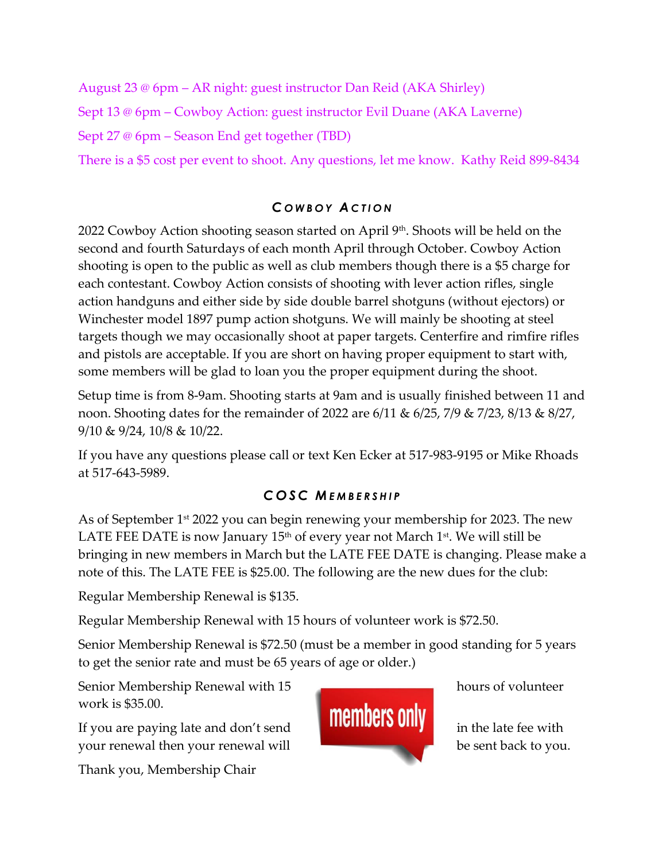August 23 @ 6pm – AR night: guest instructor Dan Reid (AKA Shirley) Sept 13 @ 6pm – Cowboy Action: guest instructor Evil Duane (AKA Laverne) Sept 27 @ 6pm – Season End get together (TBD)

There is a \$5 cost per event to shoot. Any questions, let me know. Kathy Reid 899-8434

# *C O W B O Y A C T I O N*

2022 Cowboy Action shooting season started on April  $9<sup>th</sup>$ . Shoots will be held on the second and fourth Saturdays of each month April through October. Cowboy Action shooting is open to the public as well as club members though there is a \$5 charge for each contestant. Cowboy Action consists of shooting with lever action rifles, single action handguns and either side by side double barrel shotguns (without ejectors) or Winchester model 1897 pump action shotguns. We will mainly be shooting at steel targets though we may occasionally shoot at paper targets. Centerfire and rimfire rifles and pistols are acceptable. If you are short on having proper equipment to start with, some members will be glad to loan you the proper equipment during the shoot.

Setup time is from 8-9am. Shooting starts at 9am and is usually finished between 11 and noon. Shooting dates for the remainder of 2022 are 6/11 & 6/25, 7/9 & 7/23, 8/13 & 8/27, 9/10 & 9/24, 10/8 & 10/22.

If you have any questions please call or text Ken Ecker at 517-983-9195 or Mike Rhoads at 517-643-5989.

# *C OSC M E M B E R S H I P*

As of September 1<sup>st</sup> 2022 you can begin renewing your membership for 2023. The new LATE FEE DATE is now January  $15<sup>th</sup>$  of every year not March  $1<sup>st</sup>$ . We will still be bringing in new members in March but the LATE FEE DATE is changing. Please make a note of this. The LATE FEE is \$25.00. The following are the new dues for the club:

Regular Membership Renewal is \$135.

Regular Membership Renewal with 15 hours of volunteer work is \$72.50.

Senior Membership Renewal is \$72.50 (must be a member in good standing for 5 years to get the senior rate and must be 65 years of age or older.)

Senior Membership Renewal with 15 hours of volunteer work is \$35.00.

your renewal then your renewal will be sent back to you.

Thank you, Membership Chair

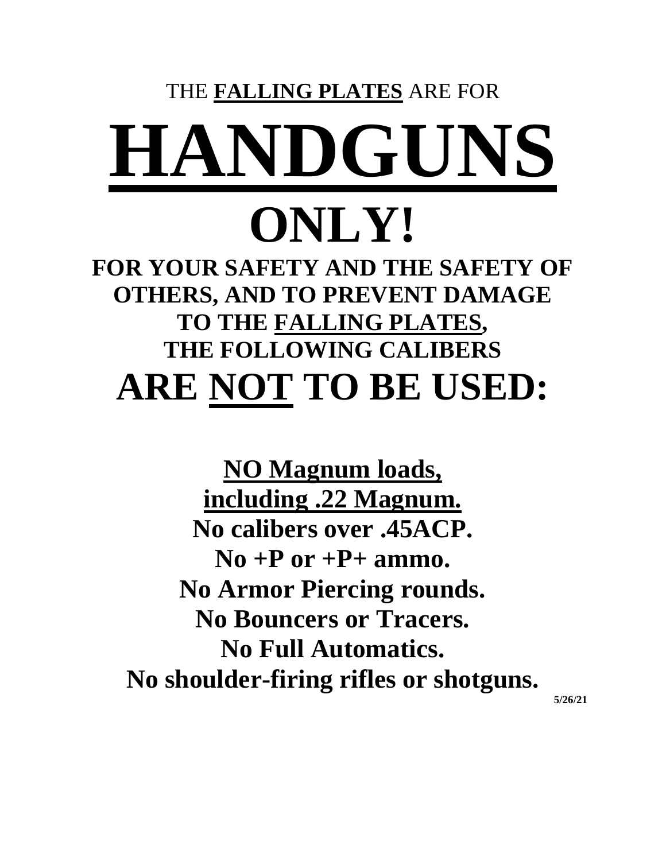# THE **FALLING PLATES** ARE FOR **HANDGUNS**

# **ONLY!**

**FOR YOUR SAFETY AND THE SAFETY OF OTHERS, AND TO PREVENT DAMAGE TO THE FALLING PLATES, THE FOLLOWING CALIBERS ARE NOT TO BE USED:**

**NO Magnum loads, including .22 Magnum. No calibers over .45ACP.**  $\bf{No}$  +**P** or +**P**+ ammo. **No Armor Piercing rounds. No Bouncers or Tracers. No Full Automatics. No shoulder-firing rifles or shotguns.**

**5/26/21**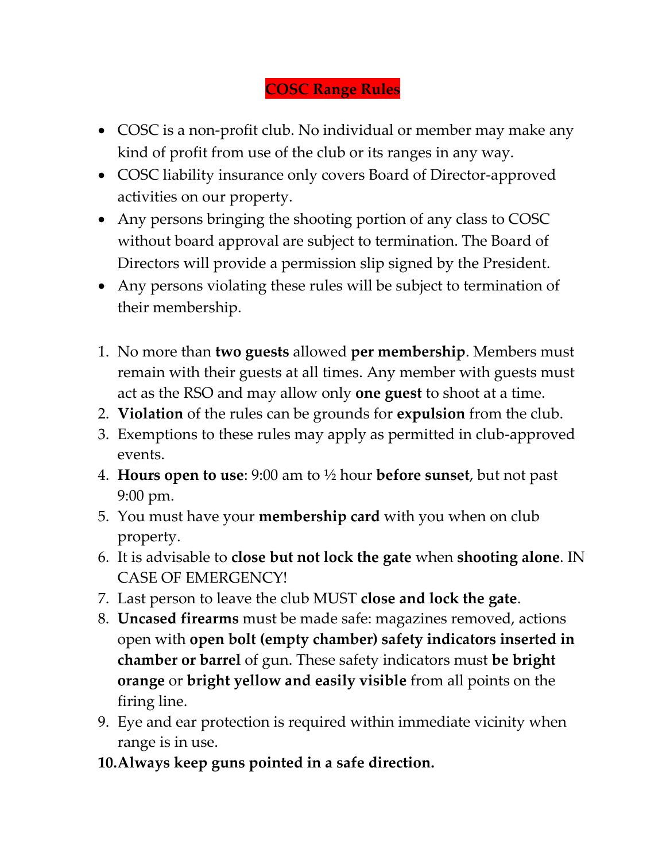# **COSC Range Rules**

- COSC is a non-profit club. No individual or member may make any kind of profit from use of the club or its ranges in any way.
- COSC liability insurance only covers Board of Director-approved activities on our property.
- Any persons bringing the shooting portion of any class to COSC without board approval are subject to termination. The Board of Directors will provide a permission slip signed by the President.
- Any persons violating these rules will be subject to termination of their membership.
- 1. No more than **two guests** allowed **per membership**. Members must remain with their guests at all times. Any member with guests must act as the RSO and may allow only **one guest** to shoot at a time.
- 2. **Violation** of the rules can be grounds for **expulsion** from the club.
- 3. Exemptions to these rules may apply as permitted in club-approved events.
- 4. **Hours open to use**: 9:00 am to ½ hour **before sunset**, but not past 9:00 pm.
- 5. You must have your **membership card** with you when on club property.
- 6. It is advisable to **close but not lock the gate** when **shooting alone**. IN CASE OF EMERGENCY!
- 7. Last person to leave the club MUST **close and lock the gate**.
- 8. **Uncased firearms** must be made safe: magazines removed, actions open with **open bolt (empty chamber) safety indicators inserted in chamber or barrel** of gun. These safety indicators must **be bright orange** or **bright yellow and easily visible** from all points on the firing line.
- 9. Eye and ear protection is required within immediate vicinity when range is in use.
- **10.Always keep guns pointed in a safe direction.**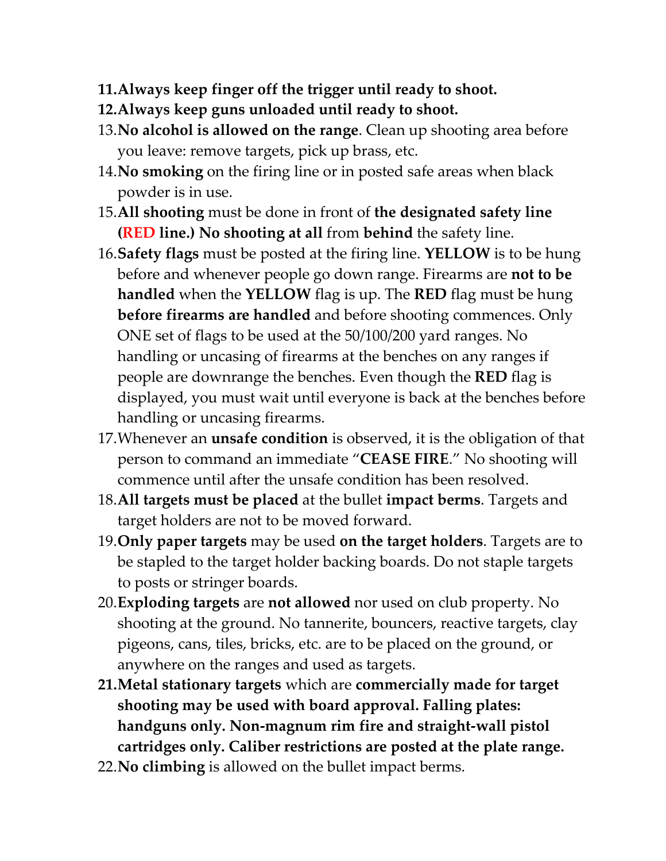- **11.Always keep finger off the trigger until ready to shoot.**
- **12.Always keep guns unloaded until ready to shoot.**
- 13.**No alcohol is allowed on the range**. Clean up shooting area before you leave: remove targets, pick up brass, etc.
- 14.**No smoking** on the firing line or in posted safe areas when black powder is in use.
- 15.**All shooting** must be done in front of **the designated safety line (RED line.) No shooting at all** from **behind** the safety line.
- 16.**Safety flags** must be posted at the firing line. **YELLOW** is to be hung before and whenever people go down range. Firearms are **not to be handled** when the **YELLOW** flag is up. The **RED** flag must be hung **before firearms are handled** and before shooting commences. Only ONE set of flags to be used at the 50/100/200 yard ranges. No handling or uncasing of firearms at the benches on any ranges if people are downrange the benches. Even though the **RED** flag is displayed, you must wait until everyone is back at the benches before handling or uncasing firearms.
- 17.Whenever an **unsafe condition** is observed, it is the obligation of that person to command an immediate "**CEASE FIRE**." No shooting will commence until after the unsafe condition has been resolved.
- 18.**All targets must be placed** at the bullet **impact berms**. Targets and target holders are not to be moved forward.
- 19.**Only paper targets** may be used **on the target holders**. Targets are to be stapled to the target holder backing boards. Do not staple targets to posts or stringer boards.
- 20.**Exploding targets** are **not allowed** nor used on club property. No shooting at the ground. No tannerite, bouncers, reactive targets, clay pigeons, cans, tiles, bricks, etc. are to be placed on the ground, or anywhere on the ranges and used as targets.
- **21.Metal stationary targets** which are **commercially made for target shooting may be used with board approval. Falling plates: handguns only. Non-magnum rim fire and straight-wall pistol cartridges only. Caliber restrictions are posted at the plate range.**
- 22.**No climbing** is allowed on the bullet impact berms.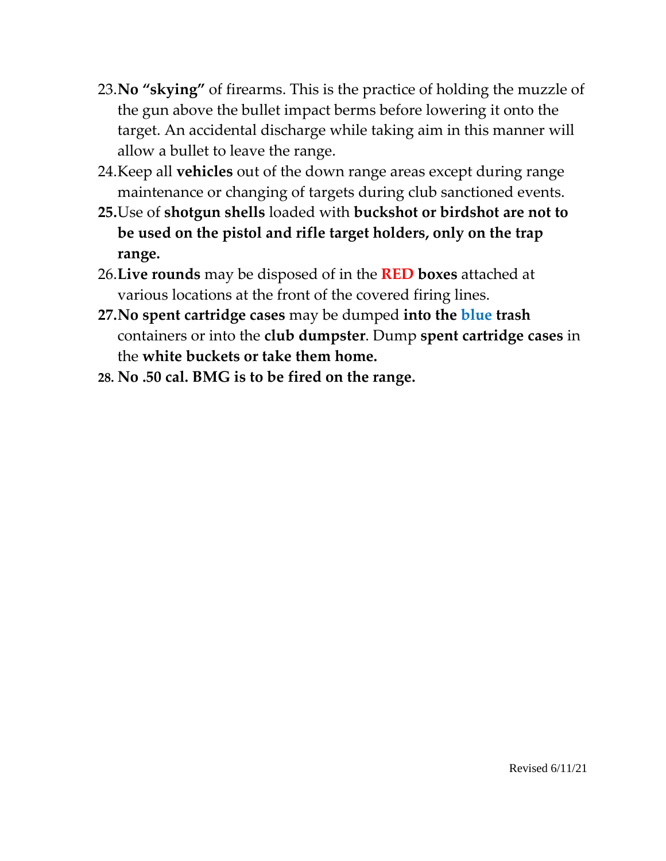- 23.**No "skying"** of firearms. This is the practice of holding the muzzle of the gun above the bullet impact berms before lowering it onto the target. An accidental discharge while taking aim in this manner will allow a bullet to leave the range.
- 24.Keep all **vehicles** out of the down range areas except during range maintenance or changing of targets during club sanctioned events.
- **25.**Use of **shotgun shells** loaded with **buckshot or birdshot are not to be used on the pistol and rifle target holders, only on the trap range.**
- 26.**Live rounds** may be disposed of in the **RED boxes** attached at various locations at the front of the covered firing lines.
- **27.No spent cartridge cases** may be dumped **into the blue trash** containers or into the **club dumpster**. Dump **spent cartridge cases** in the **white buckets or take them home.**
- **28. No .50 cal. BMG is to be fired on the range.**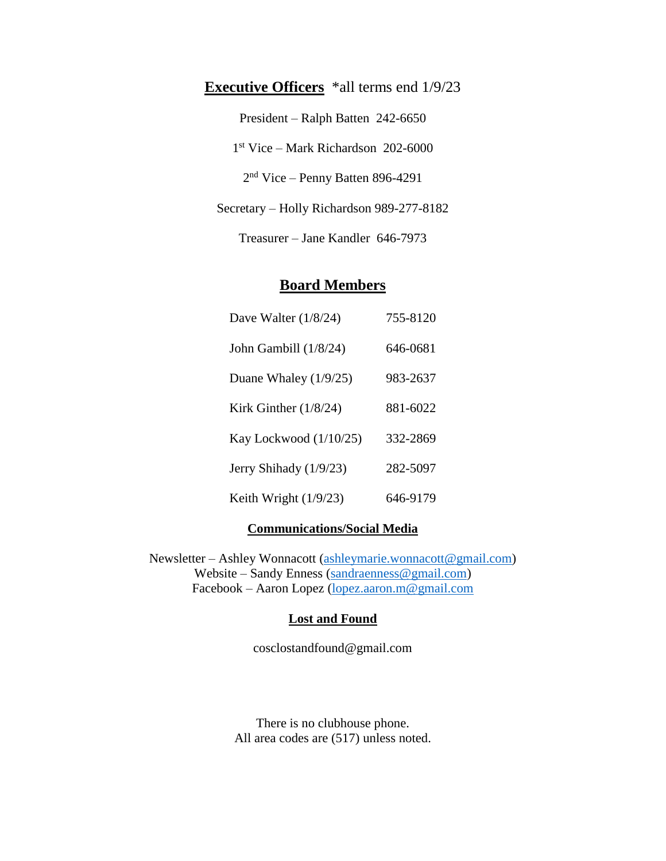# **Executive Officers** \*all terms end  $1/9/23$ President – Ralph Batten 242-6650 1 st Vice – Mark Richardson 202-6000 2<sup>nd</sup> Vice – Penny Batten 896-4291 Secretary – Holly Richardson 989-277-8182

Treasurer – Jane Kandler 646-7973

# **Board Members**

| Dave Walter $(1/8/24)$  | 755-8120 |
|-------------------------|----------|
| John Gambill (1/8/24)   | 646-0681 |
| Duane Whaley $(1/9/25)$ | 983-2637 |
| Kirk Ginther $(1/8/24)$ | 881-6022 |
| Kay Lockwood (1/10/25)  | 332-2869 |
| Jerry Shihady (1/9/23)  | 282-5097 |
| Keith Wright $(1/9/23)$ | 646-9179 |

# **Communications/Social Media**

Newsletter – Ashley Wonnacott [\(ashleymarie.wonnacott@gmail.com\)](mailto:ashleymarie.wonnacott@gmail.com) Website – Sandy Enness [\(sandraenness@gmail.com\)](mailto:sandraenness@gmail.com) Facebook – Aaron Lopez [\(lopez.aaron.m@gmail.com](mailto:lopez.aaron.m@gmail.com)

# **Lost and Found**

cosclostandfound@gmail.com

There is no clubhouse phone. All area codes are (517) unless noted.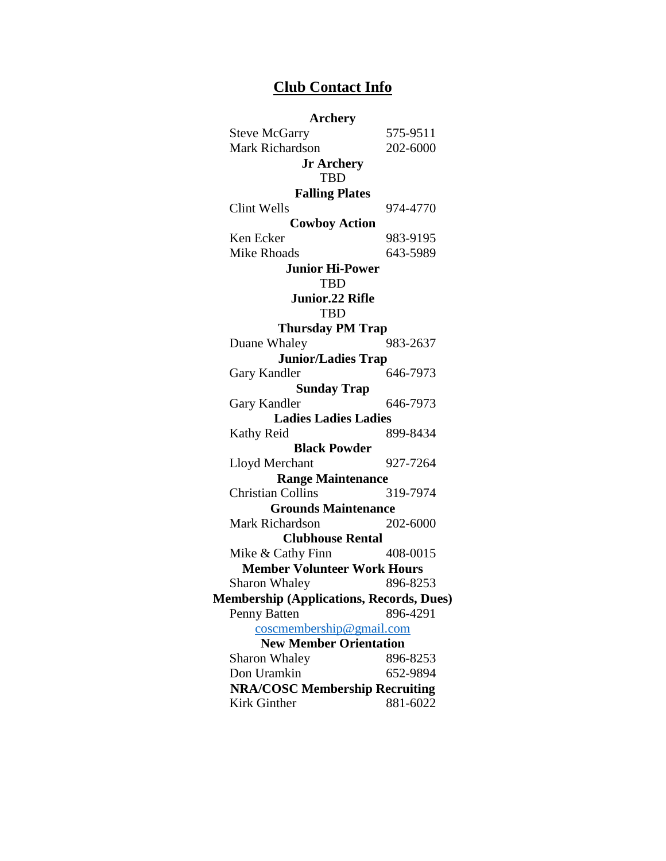# **Club Contact Info**

| <b>Archery</b>                                  |          |
|-------------------------------------------------|----------|
| <b>Steve McGarry</b>                            | 575-9511 |
| <b>Mark Richardson</b>                          | 202-6000 |
| <b>Jr Archery</b>                               |          |
| <b>TBD</b>                                      |          |
| <b>Falling Plates</b>                           |          |
| Clint Wells                                     | 974-4770 |
| <b>Cowboy Action</b>                            |          |
| Ken Ecker                                       | 983-9195 |
| <b>Mike Rhoads</b>                              | 643-5989 |
| <b>Junior Hi-Power</b><br><b>TBD</b>            |          |
| <b>Junior.22 Rifle</b><br><b>TBD</b>            |          |
| <b>Thursday PM Trap</b>                         |          |
| Duane Whaley                                    | 983-2637 |
| <b>Junior/Ladies Trap</b>                       |          |
| Gary Kandler                                    | 646-7973 |
| <b>Sunday Trap</b>                              |          |
| Gary Kandler                                    | 646-7973 |
| <b>Ladies Ladies Ladies</b>                     |          |
| Kathy Reid                                      | 899-8434 |
| <b>Black Powder</b>                             |          |
| Lloyd Merchant                                  | 927-7264 |
| <b>Range Maintenance</b>                        |          |
| <b>Christian Collins</b>                        | 319-7974 |
| <b>Grounds Maintenance</b>                      |          |
| <b>Mark Richardson</b>                          | 202-6000 |
| <b>Clubhouse Rental</b>                         |          |
| Mike & Cathy Finn                               | 408-0015 |
| <b>Member Volunteer Work Hours</b>              |          |
| <b>Sharon Whaley</b>                            | 896-8253 |
| <b>Membership (Applications, Records, Dues)</b> |          |
| Penny Batten                                    | 896-4291 |
| $cosc$ membership@gmail.com                     |          |
| <b>New Member Orientation</b>                   |          |
| <b>Sharon Whaley</b>                            | 896-8253 |
| Don Uramkin                                     | 652-9894 |
| <b>NRA/COSC Membership Recruiting</b>           |          |
| Kirk Ginther                                    | 881-6022 |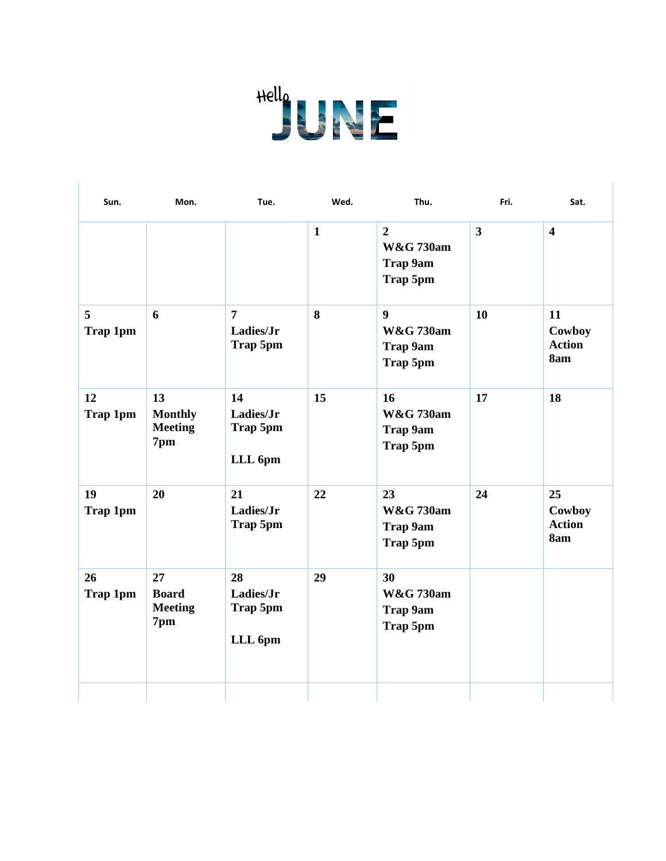

 $\overline{\phantom{a}}$ 

| Sun.                  | Mon.                                          | Tue.                                    | Wed.         | Thu.                                                             | Fri.         | Sat.                                 |
|-----------------------|-----------------------------------------------|-----------------------------------------|--------------|------------------------------------------------------------------|--------------|--------------------------------------|
|                       |                                               |                                         | $\mathbf{1}$ | $\overline{2}$<br><b>W&amp;G 730am</b><br>Trap 9am<br>Trap 5pm   | $\mathbf{3}$ | $\overline{\mathbf{4}}$              |
| 5<br>Trap 1pm         | 6                                             | $\overline{7}$<br>Ladies/Jr<br>Trap 5pm | 8            | $\boldsymbol{9}$<br><b>W&amp;G 730am</b><br>Trap 9am<br>Trap 5pm | 10           | 11<br>Cowboy<br><b>Action</b><br>8am |
| 12<br>Trap 1pm        | 13<br><b>Monthly</b><br><b>Meeting</b><br>7pm | 14<br>Ladies/Jr<br>Trap 5pm<br>LLL 6pm  | 15           | 16<br><b>W&amp;G 730am</b><br>Trap 9am<br>Trap 5pm               | 17           | 18                                   |
| 19<br><b>Trap 1pm</b> | 20                                            | 21<br>Ladies/Jr<br><b>Trap 5pm</b>      | 22           | 23<br><b>W&amp;G 730am</b><br>Trap 9am<br>Trap 5pm               | 24           | 25<br>Cowboy<br><b>Action</b><br>8am |
| 26<br>Trap 1pm        | 27<br><b>Board</b><br><b>Meeting</b><br>7pm   | 28<br>Ladies/Jr<br>Trap 5pm<br>LLL 6pm  | 29           | 30<br><b>W&amp;G 730am</b><br><b>Trap 9am</b><br>Trap 5pm        |              |                                      |